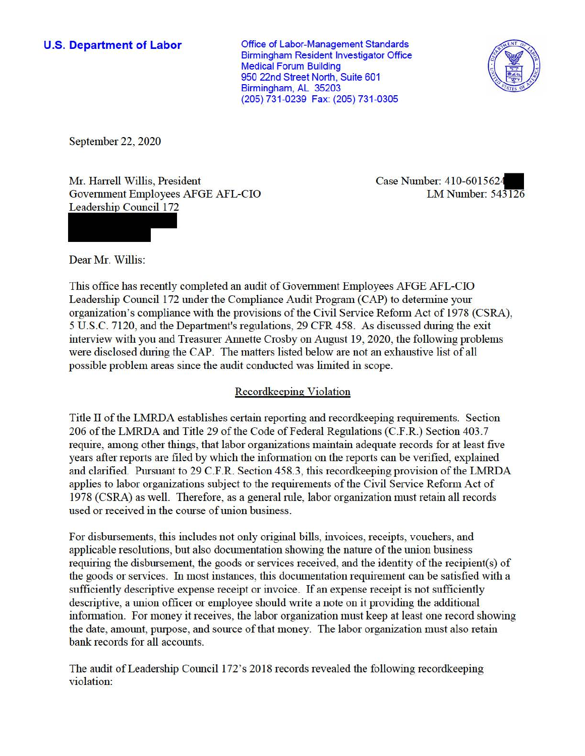**U.S. Department of Labor Conservative Conservative Conservative Conservative Conservative Conservative Conservative Conservative Conservative Conservative Conservative Conservative Conservative Conservative Conservative** Birmingham Resident Investigator Office Medical Forum Building 950 22nd Street North, Suite 601 Birmingham, AL 35203 (205) 731-0239 Fax: (205) 731-0305



September 22, 2020

Mr. Harrell Willis, President Case Number: 410-6015624 Government Employees AFGE AFL-CIO LM Number: 543126 Leadership Council 172

Dear Mr. Willis:

This office has recently completed an audit of Government Employees AFGE AFL-CIO Leadership Council 172 under the Compliance Audit Program (CAP) to detennine your organization's compliance with the provisions of the Civil Service Reform Act of 1978 (CSRA), 5 U.S.C. 7120, and the Department's regulations, 29 CFR 458. As discussed during the exit interview with you and Treasurer Annette Crosby on August 19, 2020, the following problems were disclosed during the CAP. The matters listed below are not an exhaustive list of all possible problem areas since the audit conducted was limited in scope.

## Recordkeeping Violation

Title II of the LMRDA establishes certain reporting and record keeping requirements. Section 206 of the LMRDA and Title 29 of the Code of Federal Regulations (C.F.R.) Section 403.7 require, among other things, that labor organizations maintain adequate records for at least five years after reports are filed by which the information on the reports can be verified, explained and clarified. Pursuant to 29 C.F.R. Section 458.3, this recordkeeping provision of the LMRDA applies to labor organizations subject to the requirements of the Civil Service Reform Act of 1978 (CSRA) as well. Therefore, as a general mle, labor organization must retain all records used or received in the course of union business.

For disbursements, this includes not only original bills, invoices, receipts, vouchers, and applicable resolutions, but also documentation showing the nature of the union business requiring the disbursement, the goods or services received, and the identity of the recipient(s) of the goods or services. In most instances, this documentation requirement can be satisfied with a sufficiently descriptive expense receipt or invoice. If an expense receipt is not sufficiently descriptive, a union officer or employee should write a note on it providing the additional information. For money it receives, the labor organization must keep at least one record showing the date, amount, purpose, and source of that money. The labor organization must also retain bank records for all accounts.

The audit of Leadership Council 172's 2018 records revealed the following record.keeping violation: